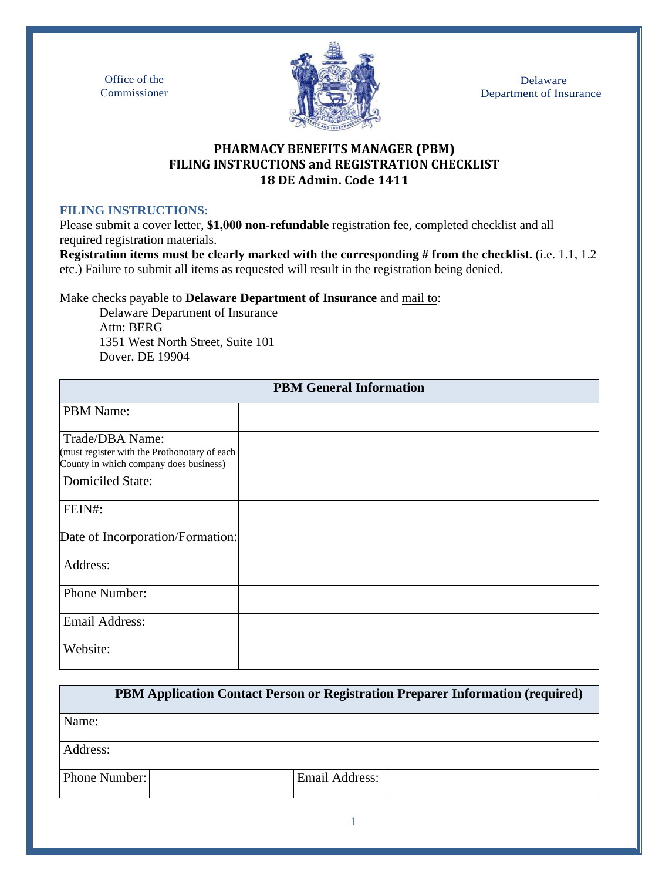Office of the Commissioner



Delaware Department of Insurance

## **PHARMACY BENEFITS MANAGER (PBM) FILING INSTRUCTIONS and REGISTRATION CHECKLIST 18 DE Admin. Code 1411**

#### **FILING INSTRUCTIONS:**

Please submit a cover letter, **\$1,000 non-refundable** registration fee, completed checklist and all required registration materials.

**Registration items must be clearly marked with the corresponding # from the checklist.** (i.e. 1.1, 1.2 etc.) Failure to submit all items as requested will result in the registration being denied.

Make checks payable to **Delaware Department of Insurance** and mail to:

Delaware Department of Insurance Attn: BERG 1351 West North Street, Suite 101 Dover. DE 19904

| <b>PBM General Information</b>                                                                            |  |  |
|-----------------------------------------------------------------------------------------------------------|--|--|
| <b>PBM</b> Name:                                                                                          |  |  |
| Trade/DBA Name:<br>(must register with the Prothonotary of each<br>County in which company does business) |  |  |
| <b>Domiciled State:</b>                                                                                   |  |  |
| FEIN#:                                                                                                    |  |  |
| Date of Incorporation/Formation:                                                                          |  |  |
| Address:                                                                                                  |  |  |
| Phone Number:                                                                                             |  |  |
| Email Address:                                                                                            |  |  |
| Website:                                                                                                  |  |  |

| PBM Application Contact Person or Registration Preparer Information (required) |                |  |  |
|--------------------------------------------------------------------------------|----------------|--|--|
| Name:                                                                          |                |  |  |
| Address:                                                                       |                |  |  |
| Phone Number:                                                                  | Email Address: |  |  |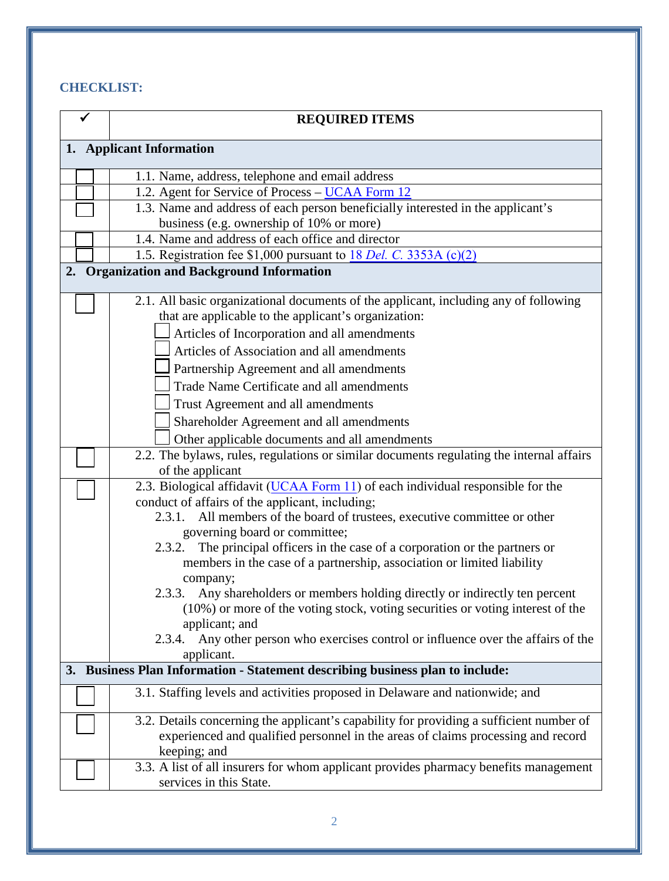# **CHECKLIST:**

|                          | <b>REQUIRED ITEMS</b>                                                                                                                            |  |  |  |
|--------------------------|--------------------------------------------------------------------------------------------------------------------------------------------------|--|--|--|
| 1. Applicant Information |                                                                                                                                                  |  |  |  |
|                          | 1.1. Name, address, telephone and email address                                                                                                  |  |  |  |
|                          | 1.2. Agent for Service of Process - UCAA Form 12                                                                                                 |  |  |  |
|                          | 1.3. Name and address of each person beneficially interested in the applicant's                                                                  |  |  |  |
|                          | business (e.g. ownership of 10% or more)                                                                                                         |  |  |  |
|                          | 1.4. Name and address of each office and director                                                                                                |  |  |  |
|                          | 1.5. Registration fee \$1,000 pursuant to $18$ <i>Del. C.</i> 3353A (c)(2)                                                                       |  |  |  |
| 2.                       | <b>Organization and Background Information</b>                                                                                                   |  |  |  |
|                          | 2.1. All basic organizational documents of the applicant, including any of following                                                             |  |  |  |
|                          | that are applicable to the applicant's organization:                                                                                             |  |  |  |
|                          | Articles of Incorporation and all amendments                                                                                                     |  |  |  |
|                          | Articles of Association and all amendments                                                                                                       |  |  |  |
|                          | Partnership Agreement and all amendments                                                                                                         |  |  |  |
|                          | Trade Name Certificate and all amendments                                                                                                        |  |  |  |
|                          | Trust Agreement and all amendments                                                                                                               |  |  |  |
|                          | Shareholder Agreement and all amendments                                                                                                         |  |  |  |
|                          | Other applicable documents and all amendments                                                                                                    |  |  |  |
|                          | 2.2. The bylaws, rules, regulations or similar documents regulating the internal affairs                                                         |  |  |  |
|                          | of the applicant                                                                                                                                 |  |  |  |
|                          | 2.3. Biological affidavit (UCAA Form 11) of each individual responsible for the                                                                  |  |  |  |
|                          | conduct of affairs of the applicant, including;                                                                                                  |  |  |  |
|                          | All members of the board of trustees, executive committee or other<br>2.3.1.                                                                     |  |  |  |
|                          | governing board or committee;<br>2.3.2.                                                                                                          |  |  |  |
|                          | The principal officers in the case of a corporation or the partners or<br>members in the case of a partnership, association or limited liability |  |  |  |
|                          | company;                                                                                                                                         |  |  |  |
|                          | 2.3.3. Any shareholders or members holding directly or indirectly ten percent                                                                    |  |  |  |
|                          | (10%) or more of the voting stock, voting securities or voting interest of the                                                                   |  |  |  |
|                          | applicant; and                                                                                                                                   |  |  |  |
|                          | Any other person who exercises control or influence over the affairs of the<br>2.3.4.                                                            |  |  |  |
|                          | applicant.                                                                                                                                       |  |  |  |
|                          | 3. Business Plan Information - Statement describing business plan to include:                                                                    |  |  |  |
|                          | 3.1. Staffing levels and activities proposed in Delaware and nationwide; and                                                                     |  |  |  |
|                          | 3.2. Details concerning the applicant's capability for providing a sufficient number of                                                          |  |  |  |
|                          | experienced and qualified personnel in the areas of claims processing and record                                                                 |  |  |  |
|                          | keeping; and                                                                                                                                     |  |  |  |
|                          | 3.3. A list of all insurers for whom applicant provides pharmacy benefits management                                                             |  |  |  |
|                          | services in this State.                                                                                                                          |  |  |  |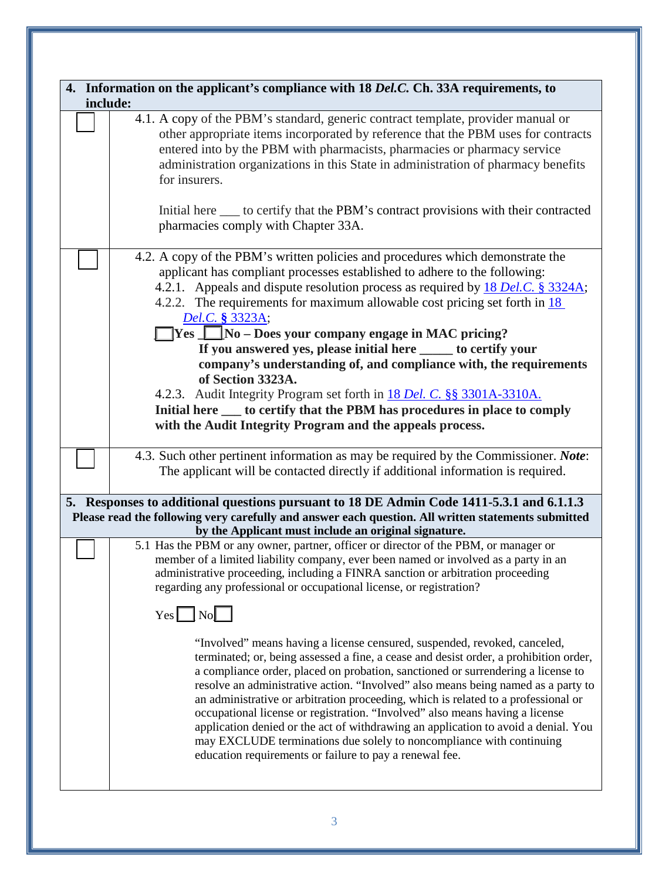|          | 4. Information on the applicant's compliance with 18 Del.C. Ch. 33A requirements, to                                                                                                                                                                                                                                                                                                                                                                                                                                                                                                                                                                                                                                                       |  |  |  |
|----------|--------------------------------------------------------------------------------------------------------------------------------------------------------------------------------------------------------------------------------------------------------------------------------------------------------------------------------------------------------------------------------------------------------------------------------------------------------------------------------------------------------------------------------------------------------------------------------------------------------------------------------------------------------------------------------------------------------------------------------------------|--|--|--|
| include: | 4.1. A copy of the PBM's standard, generic contract template, provider manual or<br>other appropriate items incorporated by reference that the PBM uses for contracts<br>entered into by the PBM with pharmacists, pharmacies or pharmacy service                                                                                                                                                                                                                                                                                                                                                                                                                                                                                          |  |  |  |
|          | administration organizations in this State in administration of pharmacy benefits<br>for insurers.<br>Initial here _____ to certify that the PBM's contract provisions with their contracted                                                                                                                                                                                                                                                                                                                                                                                                                                                                                                                                               |  |  |  |
|          | pharmacies comply with Chapter 33A.                                                                                                                                                                                                                                                                                                                                                                                                                                                                                                                                                                                                                                                                                                        |  |  |  |
|          | 4.2. A copy of the PBM's written policies and procedures which demonstrate the<br>applicant has compliant processes established to adhere to the following:<br>4.2.1. Appeals and dispute resolution process as required by 18 Del.C. § 3324A;<br>4.2.2. The requirements for maximum allowable cost pricing set forth in $\frac{18}{2}$<br>Del.C. § 3323A;                                                                                                                                                                                                                                                                                                                                                                                |  |  |  |
|          | $\Box$ Yes $\Box$ No – Does your company engage in MAC pricing?                                                                                                                                                                                                                                                                                                                                                                                                                                                                                                                                                                                                                                                                            |  |  |  |
|          | If you answered yes, please initial here ______ to certify your<br>company's understanding of, and compliance with, the requirements                                                                                                                                                                                                                                                                                                                                                                                                                                                                                                                                                                                                       |  |  |  |
|          | of Section 3323A.                                                                                                                                                                                                                                                                                                                                                                                                                                                                                                                                                                                                                                                                                                                          |  |  |  |
|          | 4.2.3. Audit Integrity Program set forth in 18 Del. C. §§ 3301A-3310A.                                                                                                                                                                                                                                                                                                                                                                                                                                                                                                                                                                                                                                                                     |  |  |  |
|          | Initial here ____ to certify that the PBM has procedures in place to comply<br>with the Audit Integrity Program and the appeals process.                                                                                                                                                                                                                                                                                                                                                                                                                                                                                                                                                                                                   |  |  |  |
|          |                                                                                                                                                                                                                                                                                                                                                                                                                                                                                                                                                                                                                                                                                                                                            |  |  |  |
|          | 4.3. Such other pertinent information as may be required by the Commissioner. Note:                                                                                                                                                                                                                                                                                                                                                                                                                                                                                                                                                                                                                                                        |  |  |  |
|          | The applicant will be contacted directly if additional information is required.                                                                                                                                                                                                                                                                                                                                                                                                                                                                                                                                                                                                                                                            |  |  |  |
|          | 5. Responses to additional questions pursuant to 18 DE Admin Code 1411-5.3.1 and 6.1.1.3                                                                                                                                                                                                                                                                                                                                                                                                                                                                                                                                                                                                                                                   |  |  |  |
|          | Please read the following very carefully and answer each question. All written statements submitted<br>by the Applicant must include an original signature.                                                                                                                                                                                                                                                                                                                                                                                                                                                                                                                                                                                |  |  |  |
|          | 5.1 Has the PBM or any owner, partner, officer or director of the PBM, or manager or                                                                                                                                                                                                                                                                                                                                                                                                                                                                                                                                                                                                                                                       |  |  |  |
|          | member of a limited liability company, ever been named or involved as a party in an<br>administrative proceeding, including a FINRA sanction or arbitration proceeding<br>regarding any professional or occupational license, or registration?                                                                                                                                                                                                                                                                                                                                                                                                                                                                                             |  |  |  |
|          | $Yes$ No                                                                                                                                                                                                                                                                                                                                                                                                                                                                                                                                                                                                                                                                                                                                   |  |  |  |
|          | "Involved" means having a license censured, suspended, revoked, canceled,<br>terminated; or, being assessed a fine, a cease and desist order, a prohibition order,<br>a compliance order, placed on probation, sanctioned or surrendering a license to<br>resolve an administrative action. "Involved" also means being named as a party to<br>an administrative or arbitration proceeding, which is related to a professional or<br>occupational license or registration. "Involved" also means having a license<br>application denied or the act of withdrawing an application to avoid a denial. You<br>may EXCLUDE terminations due solely to noncompliance with continuing<br>education requirements or failure to pay a renewal fee. |  |  |  |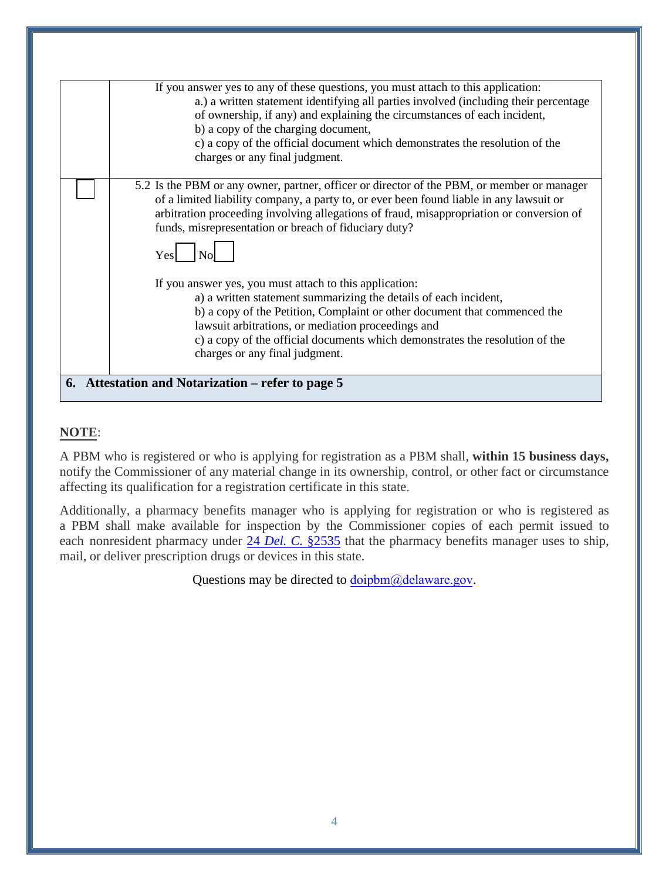|                                                   | If you answer yes to any of these questions, you must attach to this application:          |  |  |  |
|---------------------------------------------------|--------------------------------------------------------------------------------------------|--|--|--|
|                                                   | a.) a written statement identifying all parties involved (including their percentage       |  |  |  |
|                                                   | of ownership, if any) and explaining the circumstances of each incident,                   |  |  |  |
|                                                   |                                                                                            |  |  |  |
|                                                   | b) a copy of the charging document,                                                        |  |  |  |
|                                                   | c) a copy of the official document which demonstrates the resolution of the                |  |  |  |
|                                                   | charges or any final judgment.                                                             |  |  |  |
|                                                   |                                                                                            |  |  |  |
|                                                   | 5.2 Is the PBM or any owner, partner, officer or director of the PBM, or member or manager |  |  |  |
|                                                   | of a limited liability company, a party to, or ever been found liable in any lawsuit or    |  |  |  |
|                                                   | arbitration proceeding involving allegations of fraud, misappropriation or conversion of   |  |  |  |
|                                                   | funds, misrepresentation or breach of fiduciary duty?                                      |  |  |  |
|                                                   |                                                                                            |  |  |  |
|                                                   |                                                                                            |  |  |  |
|                                                   | Yes                                                                                        |  |  |  |
|                                                   |                                                                                            |  |  |  |
|                                                   | If you answer yes, you must attach to this application:                                    |  |  |  |
|                                                   | a) a written statement summarizing the details of each incident,                           |  |  |  |
|                                                   | b) a copy of the Petition, Complaint or other document that commenced the                  |  |  |  |
|                                                   | lawsuit arbitrations, or mediation proceedings and                                         |  |  |  |
|                                                   |                                                                                            |  |  |  |
|                                                   | c) a copy of the official documents which demonstrates the resolution of the               |  |  |  |
|                                                   | charges or any final judgment.                                                             |  |  |  |
|                                                   |                                                                                            |  |  |  |
| 6. Attestation and Notarization – refer to page 5 |                                                                                            |  |  |  |
|                                                   |                                                                                            |  |  |  |

## **NOTE**:

A PBM who is registered or who is applying for registration as a PBM shall, **within 15 business days,** notify the Commissioner of any material change in its ownership, control, or other fact or circumstance affecting its qualification for a registration certificate in this state.

Additionally, a pharmacy benefits manager who is applying for registration or who is registered as a PBM shall make available for inspection by the Commissioner copies of each permit issued to each nonresident pharmacy [under 24](https://delcode.delaware.gov/title24/c025/sc04/index.shtml#2535) *Del. C.* §2535 that the pharmacy benefits manager uses to ship, mail, or deliver prescription drugs or devices in this state.

Questions may be directed to doipbm[@delaware.gov](mailto:doipbm@delaware.gov).